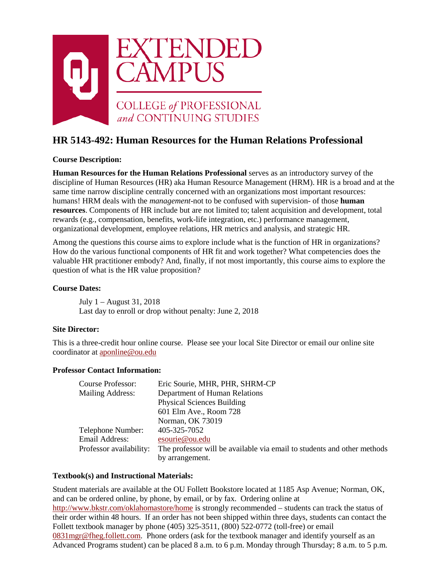

# **HR 5143-492: Human Resources for the Human Relations Professional**

# **Course Description:**

**Human Resources for the Human Relations Professional** serves as an introductory survey of the discipline of Human Resources (HR) aka Human Resource Management (HRM). HR is a broad and at the same time narrow discipline centrally concerned with an organizations most important resources: humans! HRM deals with the *management*-not to be confused with supervision- of those **human resources**. Components of HR include but are not limited to; talent acquisition and development, total rewards (e.g., compensation, benefits, work-life integration, etc.) performance management, organizational development, employee relations, HR metrics and analysis, and strategic HR.

Among the questions this course aims to explore include what is the function of HR in organizations? How do the various functional components of HR fit and work together? What competencies does the valuable HR practitioner embody? And, finally, if not most importantly, this course aims to explore the question of what is the HR value proposition?

#### **Course Dates:**

July 1 – August 31, 2018 Last day to enroll or drop without penalty: June 2, 2018

# **Site Director:**

This is a three-credit hour online course. Please see your local Site Director or email our online site coordinator at [aponline@ou.edu](mailto:aponline@ou.edu)

#### **Professor Contact Information:**

| Course Professor:       | Eric Sourie, MHR, PHR, SHRM-CP                                          |
|-------------------------|-------------------------------------------------------------------------|
| Mailing Address:        | Department of Human Relations                                           |
|                         | <b>Physical Sciences Building</b>                                       |
|                         | 601 Elm Ave., Room 728                                                  |
|                         | Norman, OK 73019                                                        |
| Telephone Number:       | 405-325-7052                                                            |
| Email Address:          | esourie@ou.edu                                                          |
| Professor availability: | The professor will be available via email to students and other methods |
|                         | by arrangement.                                                         |

#### **Textbook(s) and Instructional Materials:**

Student materials are available at the OU Follett Bookstore located at 1185 Asp Avenue; Norman, OK, and can be ordered online, by phone, by email, or by fax. Ordering online at <http://www.bkstr.com/oklahomastore/home> is strongly recommended – students can track the status of their order within 48 hours. If an order has not been shipped within three days, students can contact the Follett textbook manager by phone (405) 325-3511, (800) 522-0772 (toll-free) or email [0831mgr@fheg.follett.com.](mailto:0831mgr@fheg.follett.com) Phone orders (ask for the textbook manager and identify yourself as an Advanced Programs student) can be placed 8 a.m. to 6 p.m. Monday through Thursday; 8 a.m. to 5 p.m.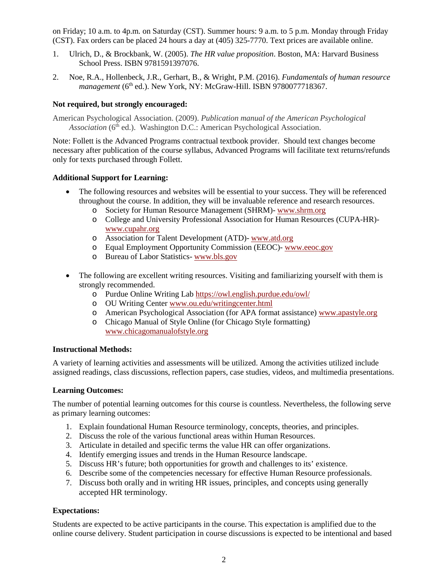on Friday; 10 a.m. to 4p.m. on Saturday (CST). Summer hours: 9 a.m. to 5 p.m. Monday through Friday (CST). Fax orders can be placed 24 hours a day at (405) 325-7770. Text prices are available online.

- 1. Ulrich, D., & Brockbank, W. (2005). *The HR value proposition*. Boston, MA: Harvard Business School Press. ISBN 9781591397076.
- 2. Noe, R.A., Hollenbeck, J.R., Gerhart, B., & Wright, P.M. (2016). *Fundamentals of human resource management* (6<sup>th</sup> ed.). New York, NY: McGraw-Hill. ISBN 9780077718367.

# **Not required, but strongly encouraged:**

American Psychological Association. (2009). *Publication manual of the American Psychological*  Association (6<sup>th</sup> ed.). Washington D.C.: American Psychological Association.

Note: Follett is the Advanced Programs contractual textbook provider. Should text changes become necessary after publication of the course syllabus, Advanced Programs will facilitate text returns/refunds only for texts purchased through Follett.

#### **Additional Support for Learning:**

- The following resources and websites will be essential to your success. They will be referenced throughout the course. In addition, they will be invaluable reference and research resources.
	- o Society for Human Resource Management (SHRM)- [www.shrm.org](http://www.shrm.org/)
	- o College and University Professional Association for Human Resources (CUPA-HR) [www.cupahr.org](http://www.cupahr.org/)
	- o Association for Talent Development (ATD)- [www.atd.org](http://www.atd.org/)
	- o Equal Employment Opportunity Commission (EEOC)- [www.eeoc.gov](http://www.eeoc.gov/)
	- o Bureau of Labor Statistics [www.bls.gov](http://www.bls.gov/)
- The following are excellent writing resources. Visiting and familiarizing yourself with them is strongly recommended.
	- o Purdue Online Writing Lab<https://owl.english.purdue.edu/owl/>
	- o OU Writing Cente[r www.ou.edu/writingcenter.html](http://www.ou.edu/writingcenter.html)
	- o American Psychological Association (for APA format assistance[\) www.apastyle.org](http://www.apastyle.org/)
	- o Chicago Manual of Style Online (for Chicago Style formatting) [www.chicagomanualofstyle.org](http://www.chicagomanualofstyle.org/)

#### **Instructional Methods:**

A variety of learning activities and assessments will be utilized. Among the activities utilized include assigned readings, class discussions, reflection papers, case studies, videos, and multimedia presentations.

#### **Learning Outcomes:**

The number of potential learning outcomes for this course is countless. Nevertheless, the following serve as primary learning outcomes:

- 1. Explain foundational Human Resource terminology, concepts, theories, and principles.
- 2. Discuss the role of the various functional areas within Human Resources.
- 3. Articulate in detailed and specific terms the value HR can offer organizations.
- 4. Identify emerging issues and trends in the Human Resource landscape.
- 5. Discuss HR's future; both opportunities for growth and challenges to its' existence.
- 6. Describe some of the competencies necessary for effective Human Resource professionals.
- 7. Discuss both orally and in writing HR issues, principles, and concepts using generally accepted HR terminology.

# **Expectations:**

Students are expected to be active participants in the course. This expectation is amplified due to the online course delivery. Student participation in course discussions is expected to be intentional and based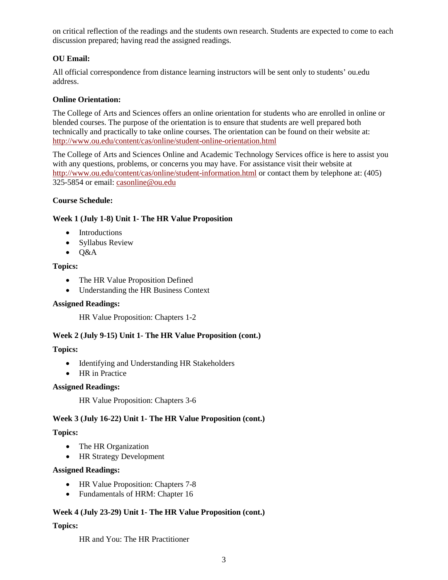on critical reflection of the readings and the students own research. Students are expected to come to each discussion prepared; having read the assigned readings.

# **OU Email:**

All official correspondence from distance learning instructors will be sent only to students' ou.edu address.

# **Online Orientation:**

The College of Arts and Sciences offers an online orientation for students who are enrolled in online or blended courses. The purpose of the orientation is to ensure that students are well prepared both technically and practically to take online courses. The orientation can be found on their website at: <http://www.ou.edu/content/cas/online/student-online-orientation.html>

The College of Arts and Sciences Online and Academic Technology Services office is here to assist you with any questions, problems, or concerns you may have. For assistance visit their website at <http://www.ou.edu/content/cas/online/student-information.html> or contact them by telephone at: (405) 325-5854 or email: [casonline@ou.edu](mailto:casonline@ou.edu)

#### **Course Schedule:**

#### **Week 1 (July 1-8) Unit 1- The HR Value Proposition**

- Introductions
- Syllabus Review
- $\bullet$  O&A

#### **Topics:**

- The HR Value Proposition Defined
- Understanding the HR Business Context

#### **Assigned Readings:**

HR Value Proposition: Chapters 1-2

# **Week 2 (July 9-15) Unit 1- The HR Value Proposition (cont.)**

#### **Topics:**

- Identifying and Understanding HR Stakeholders
- HR in Practice

#### **Assigned Readings:**

HR Value Proposition: Chapters 3-6

# **Week 3 (July 16-22) Unit 1- The HR Value Proposition (cont.)**

# **Topics:**

- The HR Organization
- HR Strategy Development

#### **Assigned Readings:**

- HR Value Proposition: Chapters 7-8
- Fundamentals of HRM: Chapter 16

# **Week 4 (July 23-29) Unit 1- The HR Value Proposition (cont.)**

# **Topics:**

HR and You: The HR Practitioner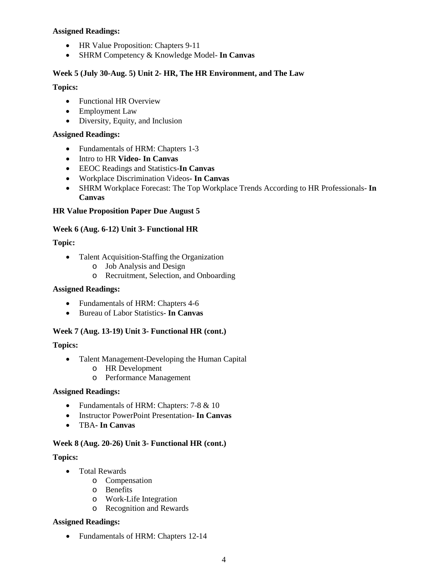# **Assigned Readings:**

- HR Value Proposition: Chapters 9-11
- SHRM Competency & Knowledge Model- **In Canvas**

# **Week 5 (July 30-Aug. 5) Unit 2- HR, The HR Environment, and The Law**

# **Topics:**

- Functional HR Overview
- Employment Law
- Diversity, Equity, and Inclusion

# **Assigned Readings:**

- Fundamentals of HRM: Chapters 1-3
- Intro to HR **Video- In Canvas**
- EEOC Readings and Statistics-**In Canvas**
- Workplace Discrimination Videos**- In Canvas**
- SHRM Workplace Forecast: The Top Workplace Trends According to HR Professionals- **In Canvas**

# **HR Value Proposition Paper Due August 5**

# **Week 6 (Aug. 6-12) Unit 3- Functional HR**

# **Topic:**

- Talent Acquisition-Staffing the Organization
	- o Job Analysis and Design
	- o Recruitment, Selection, and Onboarding

# **Assigned Readings:**

- Fundamentals of HRM: Chapters 4-6
- Bureau of Labor Statistics- **In Canvas**

# **Week 7 (Aug. 13-19) Unit 3- Functional HR (cont.)**

# **Topics:**

- Talent Management-Developing the Human Capital
	- o HR Development
	- o Performance Management

# **Assigned Readings:**

- Fundamentals of HRM: Chapters: 7-8 & 10
- Instructor PowerPoint Presentation- **In Canvas**
- TBA**- In Canvas**

# **Week 8 (Aug. 20-26) Unit 3- Functional HR (cont.)**

# **Topics:**

- Total Rewards
	- o Compensation
		- o Benefits
		- o Work-Life Integration
		- o Recognition and Rewards

# **Assigned Readings:**

• Fundamentals of HRM: Chapters 12-14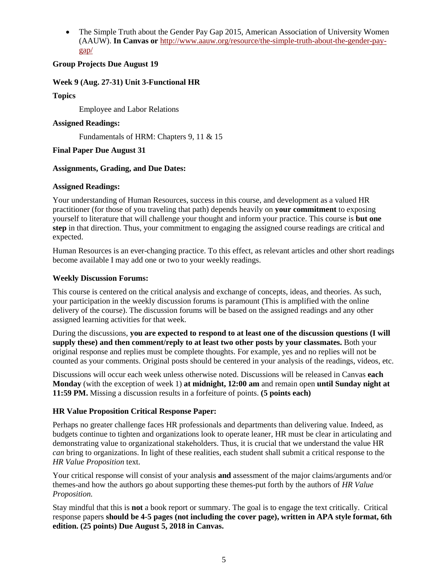• The Simple Truth about the Gender Pay Gap 2015, American Association of University Women (AAUW). **In Canvas or** [http://www.aauw.org/resource/the-simple-truth-about-the-gender-pay](http://www.aauw.org/resource/the-simple-truth-about-the-gender-pay-gap/)[gap/](http://www.aauw.org/resource/the-simple-truth-about-the-gender-pay-gap/)

# **Group Projects Due August 19**

# **Week 9 (Aug. 27-31) Unit 3-Functional HR**

# **Topics**

Employee and Labor Relations

# **Assigned Readings:**

Fundamentals of HRM: Chapters 9, 11 & 15

# **Final Paper Due August 31**

# **Assignments, Grading, and Due Dates:**

# **Assigned Readings:**

Your understanding of Human Resources, success in this course, and development as a valued HR practitioner (for those of you traveling that path) depends heavily on **your commitment** to exposing yourself to literature that will challenge your thought and inform your practice. This course is **but one step** in that direction. Thus, your commitment to engaging the assigned course readings are critical and expected.

Human Resources is an ever-changing practice. To this effect, as relevant articles and other short readings become available I may add one or two to your weekly readings.

# **Weekly Discussion Forums:**

This course is centered on the critical analysis and exchange of concepts, ideas, and theories. As such, your participation in the weekly discussion forums is paramount (This is amplified with the online delivery of the course). The discussion forums will be based on the assigned readings and any other assigned learning activities for that week.

During the discussions, **you are expected to respond to at least one of the discussion questions (I will supply these) and then comment/reply to at least two other posts by your classmates.** Both your original response and replies must be complete thoughts. For example, yes and no replies will not be counted as your comments. Original posts should be centered in your analysis of the readings, videos, etc.

Discussions will occur each week unless otherwise noted. Discussions will be released in Canvas **each Monday** (with the exception of week 1) **at midnight, 12:00 am** and remain open **until Sunday night at 11:59 PM.** Missing a discussion results in a forfeiture of points. **(5 points each)**

# **HR Value Proposition Critical Response Paper:**

Perhaps no greater challenge faces HR professionals and departments than delivering value. Indeed, as budgets continue to tighten and organizations look to operate leaner, HR must be clear in articulating and demonstrating value to organizational stakeholders. Thus, it is crucial that we understand the value HR *can* bring to organizations. In light of these realities, each student shall submit a critical response to the *HR Value Proposition* text.

Your critical response will consist of your analysis **and** assessment of the major claims/arguments and/or themes-and how the authors go about supporting these themes-put forth by the authors of *HR Value Proposition.*

Stay mindful that this is **not** a book report or summary. The goal is to engage the text critically. Critical response papers **should be 4-5 pages (not including the cover page), written in APA style format, 6th edition. (25 points) Due August 5, 2018 in Canvas.**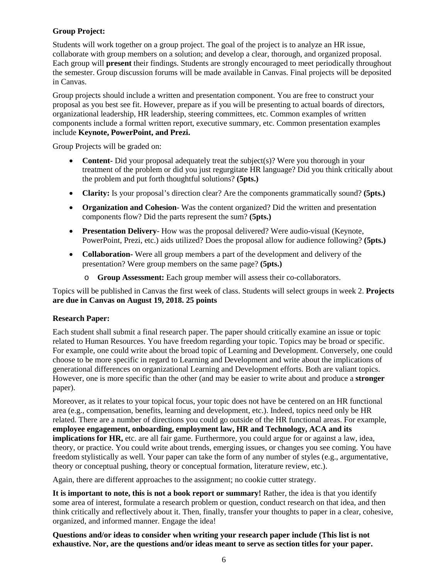# **Group Project:**

Students will work together on a group project. The goal of the project is to analyze an HR issue, collaborate with group members on a solution; and develop a clear, thorough, and organized proposal. Each group will **present** their findings. Students are strongly encouraged to meet periodically throughout the semester. Group discussion forums will be made available in Canvas. Final projects will be deposited in Canvas.

Group projects should include a written and presentation component. You are free to construct your proposal as you best see fit. However, prepare as if you will be presenting to actual boards of directors, organizational leadership, HR leadership, steering committees, etc. Common examples of written components include a formal written report, executive summary, etc. Common presentation examples include **Keynote, PowerPoint, and Prezi.** 

Group Projects will be graded on:

- **Content-** Did your proposal adequately treat the subject(s)? Were you thorough in your treatment of the problem or did you just regurgitate HR language? Did you think critically about the problem and put forth thoughtful solutions? **(5pts.)**
- **Clarity:** Is your proposal's direction clear? Are the components grammatically sound? **(5pts.)**
- **Organization and Cohesion** Was the content organized? Did the written and presentation components flow? Did the parts represent the sum? **(5pts.)**
- **Presentation Delivery** How was the proposal delivered? Were audio-visual (Keynote, PowerPoint, Prezi, etc.) aids utilized? Does the proposal allow for audience following? **(5pts.)**
- **Collaboration-** Were all group members a part of the development and delivery of the presentation? Were group members on the same page? **(5pts.)**
	- o **Group Assessment:** Each group member will assess their co-collaborators.

Topics will be published in Canvas the first week of class. Students will select groups in week 2. **Projects are due in Canvas on August 19, 2018. 25 points** 

# **Research Paper:**

Each student shall submit a final research paper. The paper should critically examine an issue or topic related to Human Resources. You have freedom regarding your topic. Topics may be broad or specific. For example, one could write about the broad topic of Learning and Development. Conversely, one could choose to be more specific in regard to Learning and Development and write about the implications of generational differences on organizational Learning and Development efforts. Both are valiant topics. However, one is more specific than the other (and may be easier to write about and produce a **stronger** paper).

Moreover, as it relates to your topical focus, your topic does not have be centered on an HR functional area (e.g., compensation, benefits, learning and development, etc.). Indeed, topics need only be HR related. There are a number of directions you could go outside of the HR functional areas. For example, **employee engagement, onboarding, employment law, HR and Technology, ACA and its implications for HR,** etc. are all fair game. Furthermore, you could argue for or against a law, idea, theory, or practice. You could write about trends, emerging issues, or changes you see coming. You have freedom stylistically as well. Your paper can take the form of any number of styles (e.g., argumentative, theory or conceptual pushing, theory or conceptual formation, literature review, etc.).

Again, there are different approaches to the assignment; no cookie cutter strategy.

**It is important to note, this is not a book report or summary!** Rather, the idea is that you identify some area of interest, formulate a research problem or question, conduct research on that idea, and then think critically and reflectively about it. Then, finally, transfer your thoughts to paper in a clear, cohesive, organized, and informed manner. Engage the idea!

**Questions and/or ideas to consider when writing your research paper include (This list is not exhaustive. Nor, are the questions and/or ideas meant to serve as section titles for your paper.**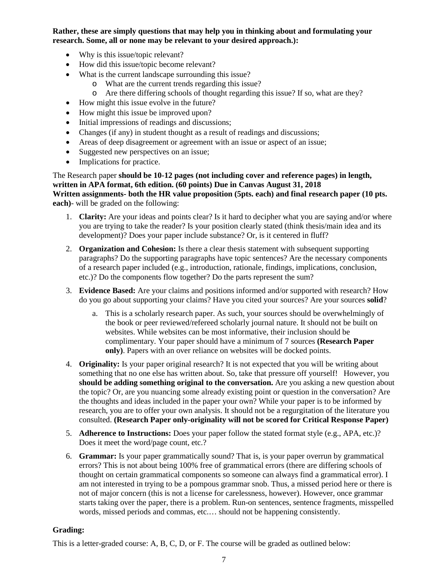**Rather, these are simply questions that may help you in thinking about and formulating your research. Some, all or none may be relevant to your desired approach.):** 

- Why is this issue/topic relevant?
- How did this issue/topic become relevant?
- What is the current landscape surrounding this issue?
	- o What are the current trends regarding this issue?
	- o Are there differing schools of thought regarding this issue? If so, what are they?
- How might this issue evolve in the future?
- How might this issue be improved upon?
- Initial impressions of readings and discussions;
- Changes (if any) in student thought as a result of readings and discussions;
- Areas of deep disagreement or agreement with an issue or aspect of an issue;
- Suggested new perspectives on an issue;
- Implications for practice.

The Research paper **should be 10-12 pages (not including cover and reference pages) in length, written in APA format, 6th edition. (60 points) Due in Canvas August 31, 2018 Written assignments- both the HR value proposition (5pts. each) and final research paper (10 pts. each)**- will be graded on the following:

- 1. **Clarity:** Are your ideas and points clear? Is it hard to decipher what you are saying and/or where you are trying to take the reader? Is your position clearly stated (think thesis/main idea and its development)? Does your paper include substance? Or, is it centered in fluff?
- 2. **Organization and Cohesion:** Is there a clear thesis statement with subsequent supporting paragraphs? Do the supporting paragraphs have topic sentences? Are the necessary components of a research paper included (e.g., introduction, rationale, findings, implications, conclusion, etc.)? Do the components flow together? Do the parts represent the sum?
- 3. **Evidence Based:** Are your claims and positions informed and/or supported with research? How do you go about supporting your claims? Have you cited your sources? Are your sources **solid**?
	- a. This is a scholarly research paper. As such, your sources should be overwhelmingly of the book or peer reviewed/refereed scholarly journal nature. It should not be built on websites. While websites can be most informative, their inclusion should be complimentary. Your paper should have a minimum of 7 sources **(Research Paper only)**. Papers with an over reliance on websites will be docked points.
- 4. **Originality:** Is your paper original research? It is not expected that you will be writing about something that no one else has written about. So, take that pressure off yourself! However, you **should be adding something original to the conversation.** Are you asking a new question about the topic? Or, are you nuancing some already existing point or question in the conversation? Are the thoughts and ideas included in the paper your own? While your paper is to be informed by research, you are to offer your own analysis. It should not be a regurgitation of the literature you consulted. **(Research Paper only-originality will not be scored for Critical Response Paper)**
- 5. **Adherence to Instructions:** Does your paper follow the stated format style (e.g., APA, etc.)? Does it meet the word/page count, etc.?
- 6. **Grammar:** Is your paper grammatically sound? That is, is your paper overrun by grammatical errors? This is not about being 100% free of grammatical errors (there are differing schools of thought on certain grammatical components so someone can always find a grammatical error). I am not interested in trying to be a pompous grammar snob. Thus, a missed period here or there is not of major concern (this is not a license for carelessness, however). However, once grammar starts taking over the paper, there is a problem. Run-on sentences, sentence fragments, misspelled words, missed periods and commas, etc.… should not be happening consistently.

# **Grading:**

This is a letter-graded course: A, B, C, D, or F. The course will be graded as outlined below: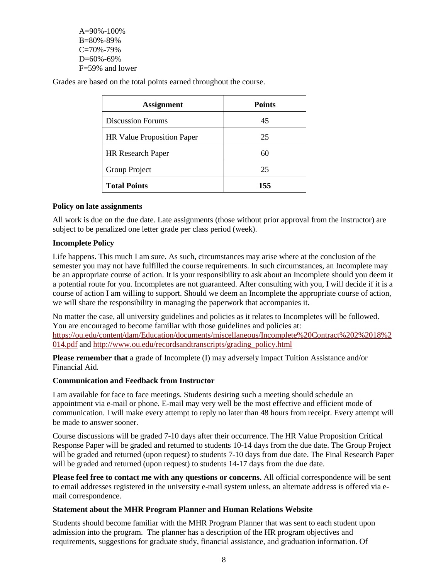$A=90\% - 100\%$ B=80%-89%  $C=70% -79%$ D=60%-69% F=59% and lower

Grades are based on the total points earned throughout the course.

| <b>Assignment</b>                 | <b>Points</b> |
|-----------------------------------|---------------|
| <b>Discussion Forums</b>          | 45            |
| <b>HR Value Proposition Paper</b> | 25            |
| <b>HR</b> Research Paper          | 60            |
| Group Project                     | 25            |
| <b>Total Points</b>               | 155           |

#### **Policy on late assignments**

All work is due on the due date. Late assignments (those without prior approval from the instructor) are subject to be penalized one letter grade per class period (week).

# **Incomplete Policy**

Life happens. This much I am sure. As such, circumstances may arise where at the conclusion of the semester you may not have fulfilled the course requirements. In such circumstances, an Incomplete may be an appropriate course of action. It is your responsibility to ask about an Incomplete should you deem it a potential route for you. Incompletes are not guaranteed. After consulting with you, I will decide if it is a course of action I am willing to support. Should we deem an Incomplete the appropriate course of action, we will share the responsibility in managing the paperwork that accompanies it.

No matter the case, all university guidelines and policies as it relates to Incompletes will be followed. You are encouraged to become familiar with those guidelines and policies at: [https://ou.edu/content/dam/Education/documents/miscellaneous/Incomplete%20Contract%202%2018%2](https://ou.edu/content/dam/Education/documents/miscellaneous/Incomplete%20Contract%202%2018%2014.pdf)

[014.pdf](https://ou.edu/content/dam/Education/documents/miscellaneous/Incomplete%20Contract%202%2018%2014.pdf) and [http://www.ou.edu/recordsandtranscripts/grading\\_policy.html](http://www.ou.edu/recordsandtranscripts/grading_policy.html)

**Please remember that** a grade of Incomplete (I) may adversely impact Tuition Assistance and/or Financial Aid.

# **Communication and Feedback from Instructor**

I am available for face to face meetings. Students desiring such a meeting should schedule an appointment via e-mail or phone. E-mail may very well be the most effective and efficient mode of communication. I will make every attempt to reply no later than 48 hours from receipt. Every attempt will be made to answer sooner.

Course discussions will be graded 7-10 days after their occurrence. The HR Value Proposition Critical Response Paper will be graded and returned to students 10-14 days from the due date. The Group Project will be graded and returned (upon request) to students 7-10 days from due date. The Final Research Paper will be graded and returned (upon request) to students 14-17 days from the due date.

**Please feel free to contact me with any questions or concerns.** All official correspondence will be sent to email addresses registered in the university e-mail system unless, an alternate address is offered via email correspondence.

# **Statement about the MHR Program Planner and Human Relations Website**

Students should become familiar with the MHR Program Planner that was sent to each student upon admission into the program. The planner has a description of the HR program objectives and requirements, suggestions for graduate study, financial assistance, and graduation information. Of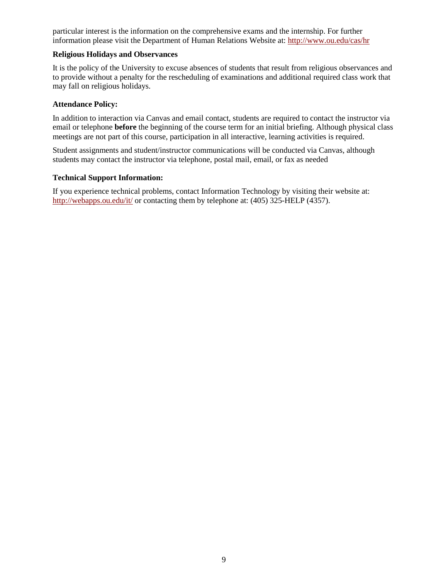particular interest is the information on the comprehensive exams and the internship. For further information please visit the Department of Human Relations Website at:<http://www.ou.edu/cas/hr>

# **Religious Holidays and Observances**

It is the policy of the University to excuse absences of students that result from religious observances and to provide without a penalty for the rescheduling of examinations and additional required class work that may fall on religious holidays.

#### **Attendance Policy:**

In addition to interaction via Canvas and email contact, students are required to contact the instructor via email or telephone **before** the beginning of the course term for an initial briefing. Although physical class meetings are not part of this course, participation in all interactive, learning activities is required.

Student assignments and student/instructor communications will be conducted via Canvas, although students may contact the instructor via telephone, postal mail, email, or fax as needed

# **Technical Support Information:**

If you experience technical problems, contact Information Technology by visiting their website at: <http://webapps.ou.edu/it/> or contacting them by telephone at: (405) 325-HELP (4357).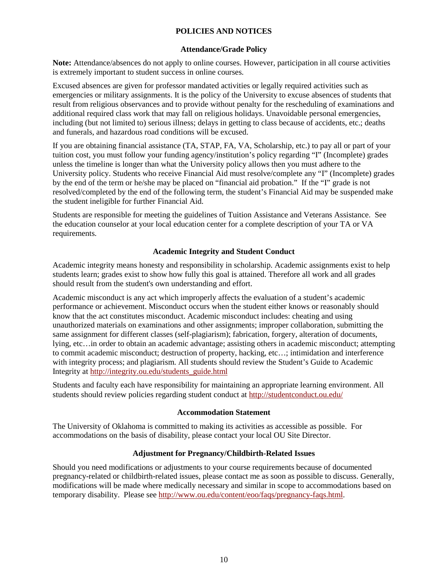# **POLICIES AND NOTICES**

# **Attendance/Grade Policy**

**Note:** Attendance/absences do not apply to online courses. However, participation in all course activities is extremely important to student success in online courses.

Excused absences are given for professor mandated activities or legally required activities such as emergencies or military assignments. It is the policy of the University to excuse absences of students that result from religious observances and to provide without penalty for the rescheduling of examinations and additional required class work that may fall on religious holidays. Unavoidable personal emergencies, including (but not limited to) serious illness; delays in getting to class because of accidents, etc.; deaths and funerals, and hazardous road conditions will be excused.

If you are obtaining financial assistance (TA, STAP, FA, VA, Scholarship, etc.) to pay all or part of your tuition cost, you must follow your funding agency/institution's policy regarding "I" (Incomplete) grades unless the timeline is longer than what the University policy allows then you must adhere to the University policy. Students who receive Financial Aid must resolve/complete any "I" (Incomplete) grades by the end of the term or he/she may be placed on "financial aid probation." If the "I" grade is not resolved/completed by the end of the following term, the student's Financial Aid may be suspended make the student ineligible for further Financial Aid.

Students are responsible for meeting the guidelines of Tuition Assistance and Veterans Assistance. See the education counselor at your local education center for a complete description of your TA or VA requirements.

# **Academic Integrity and Student Conduct**

Academic integrity means honesty and responsibility in scholarship. Academic assignments exist to help students learn; grades exist to show how fully this goal is attained. Therefore all work and all grades should result from the student's own understanding and effort.

Academic misconduct is any act which improperly affects the evaluation of a student's academic performance or achievement. Misconduct occurs when the student either knows or reasonably should know that the act constitutes misconduct. Academic misconduct includes: cheating and using unauthorized materials on examinations and other assignments; improper collaboration, submitting the same assignment for different classes (self-plagiarism); fabrication, forgery, alteration of documents, lying, etc…in order to obtain an academic advantage; assisting others in academic misconduct; attempting to commit academic misconduct; destruction of property, hacking, etc…; intimidation and interference with integrity process; and plagiarism. All students should review the Student's Guide to Academic Integrity at [http://integrity.ou.edu/students\\_guide.html](http://integrity.ou.edu/students_guide.html)

Students and faculty each have responsibility for maintaining an appropriate learning environment. All students should review policies regarding student conduct at<http://studentconduct.ou.edu/>

# **Accommodation Statement**

The University of Oklahoma is committed to making its activities as accessible as possible. For accommodations on the basis of disability, please contact your local OU Site Director.

# **Adjustment for Pregnancy/Childbirth-Related Issues**

Should you need modifications or adjustments to your course requirements because of documented pregnancy-related or childbirth-related issues, please contact me as soon as possible to discuss. Generally, modifications will be made where medically necessary and similar in scope to accommodations based on temporary disability. Please see [http://www.ou.edu/content/eoo/faqs/pregnancy-faqs.html.](http://www.ou.edu/content/eoo/faqs/pregnancy-faqs.html)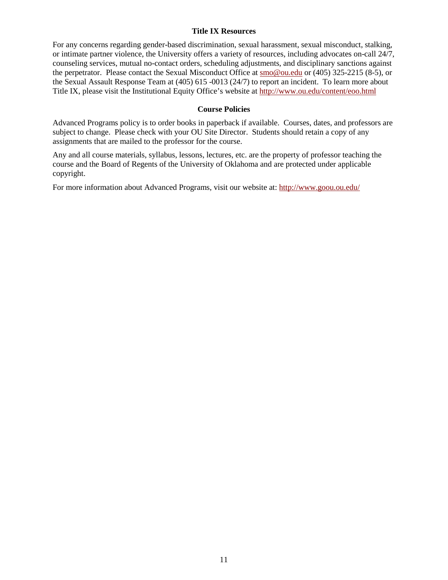#### **Title IX Resources**

For any concerns regarding gender-based discrimination, sexual harassment, sexual misconduct, stalking, or intimate partner violence, the University offers a variety of resources, including advocates on-call 24/7, counseling services, mutual no-contact orders, scheduling adjustments, and disciplinary sanctions against the perpetrator. Please contact the Sexual Misconduct Office at [smo@ou.edu](mailto:smo@ou.edu) or (405) 325-2215 (8-5), or the Sexual Assault Response Team at (405) 615 -0013 (24/7) to report an incident. To learn more about Title IX, please visit the Institutional Equity Office's website at<http://www.ou.edu/content/eoo.html>

# **Course Policies**

Advanced Programs policy is to order books in paperback if available. Courses, dates, and professors are subject to change. Please check with your OU Site Director. Students should retain a copy of any assignments that are mailed to the professor for the course.

Any and all course materials, syllabus, lessons, lectures, etc. are the property of professor teaching the course and the Board of Regents of the University of Oklahoma and are protected under applicable copyright.

For more information about Advanced Programs, visit our website at:<http://www.goou.ou.edu/>